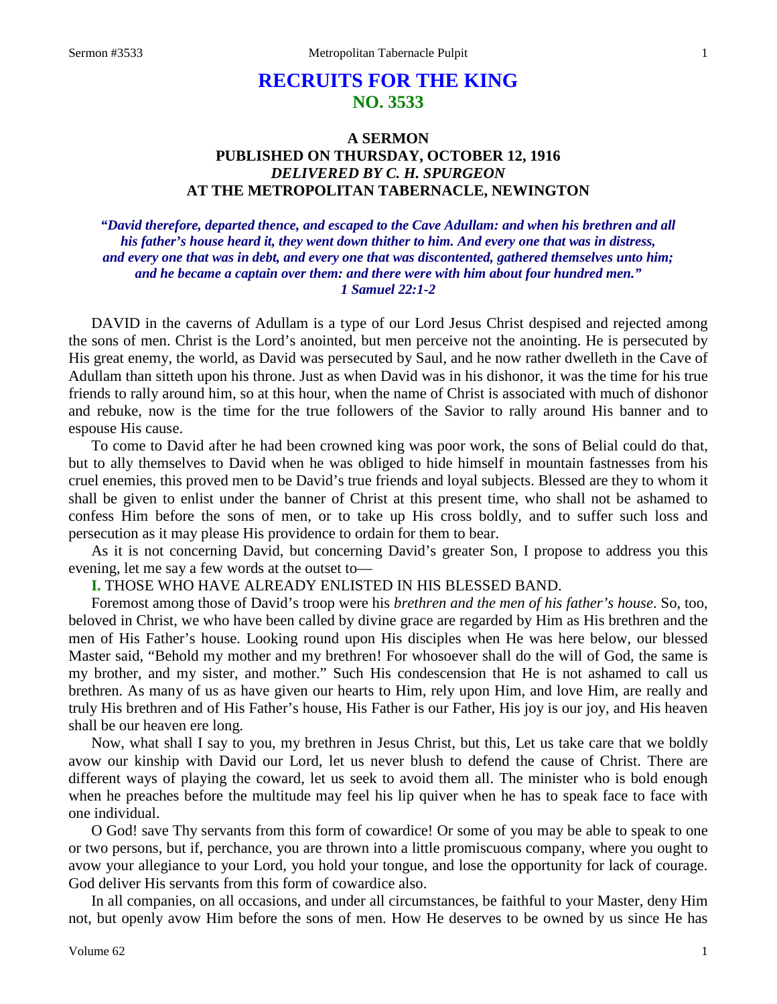# **RECRUITS FOR THE KING NO. 3533**

# **A SERMON PUBLISHED ON THURSDAY, OCTOBER 12, 1916** *DELIVERED BY C. H. SPURGEON* **AT THE METROPOLITAN TABERNACLE, NEWINGTON**

# *"David therefore, departed thence, and escaped to the Cave Adullam: and when his brethren and all his father's house heard it, they went down thither to him. And every one that was in distress, and every one that was in debt, and every one that was discontented, gathered themselves unto him; and he became a captain over them: and there were with him about four hundred men." 1 Samuel 22:1-2*

DAVID in the caverns of Adullam is a type of our Lord Jesus Christ despised and rejected among the sons of men. Christ is the Lord's anointed, but men perceive not the anointing. He is persecuted by His great enemy, the world, as David was persecuted by Saul, and he now rather dwelleth in the Cave of Adullam than sitteth upon his throne. Just as when David was in his dishonor, it was the time for his true friends to rally around him, so at this hour, when the name of Christ is associated with much of dishonor and rebuke, now is the time for the true followers of the Savior to rally around His banner and to espouse His cause.

To come to David after he had been crowned king was poor work, the sons of Belial could do that, but to ally themselves to David when he was obliged to hide himself in mountain fastnesses from his cruel enemies, this proved men to be David's true friends and loyal subjects. Blessed are they to whom it shall be given to enlist under the banner of Christ at this present time, who shall not be ashamed to confess Him before the sons of men, or to take up His cross boldly, and to suffer such loss and persecution as it may please His providence to ordain for them to bear.

As it is not concerning David, but concerning David's greater Son, I propose to address you this evening, let me say a few words at the outset to—

# **I.** THOSE WHO HAVE ALREADY ENLISTED IN HIS BLESSED BAND.

Foremost among those of David's troop were his *brethren and the men of his father's house*. So, too, beloved in Christ, we who have been called by divine grace are regarded by Him as His brethren and the men of His Father's house. Looking round upon His disciples when He was here below, our blessed Master said, "Behold my mother and my brethren! For whosoever shall do the will of God, the same is my brother, and my sister, and mother." Such His condescension that He is not ashamed to call us brethren. As many of us as have given our hearts to Him, rely upon Him, and love Him, are really and truly His brethren and of His Father's house, His Father is our Father, His joy is our joy, and His heaven shall be our heaven ere long.

Now, what shall I say to you, my brethren in Jesus Christ, but this, Let us take care that we boldly avow our kinship with David our Lord, let us never blush to defend the cause of Christ. There are different ways of playing the coward, let us seek to avoid them all. The minister who is bold enough when he preaches before the multitude may feel his lip quiver when he has to speak face to face with one individual.

O God! save Thy servants from this form of cowardice! Or some of you may be able to speak to one or two persons, but if, perchance, you are thrown into a little promiscuous company, where you ought to avow your allegiance to your Lord, you hold your tongue, and lose the opportunity for lack of courage. God deliver His servants from this form of cowardice also.

In all companies, on all occasions, and under all circumstances, be faithful to your Master, deny Him not, but openly avow Him before the sons of men. How He deserves to be owned by us since He has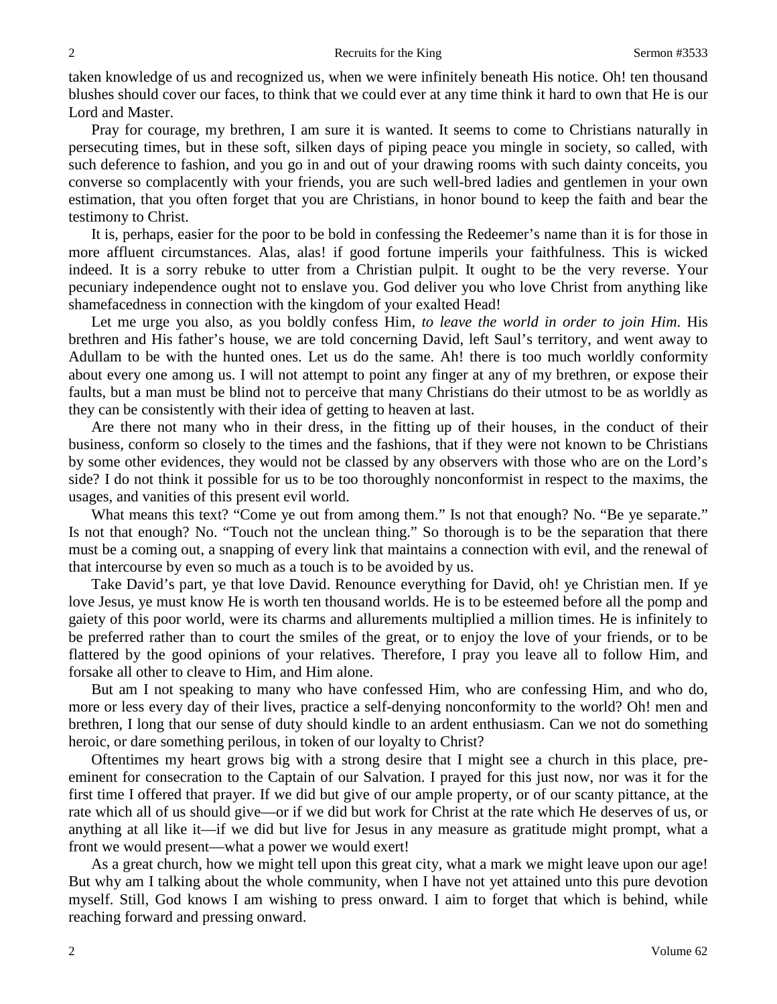taken knowledge of us and recognized us, when we were infinitely beneath His notice. Oh! ten thousand blushes should cover our faces, to think that we could ever at any time think it hard to own that He is our Lord and Master.

Pray for courage, my brethren, I am sure it is wanted. It seems to come to Christians naturally in persecuting times, but in these soft, silken days of piping peace you mingle in society, so called, with such deference to fashion, and you go in and out of your drawing rooms with such dainty conceits, you converse so complacently with your friends, you are such well-bred ladies and gentlemen in your own estimation, that you often forget that you are Christians, in honor bound to keep the faith and bear the testimony to Christ.

It is, perhaps, easier for the poor to be bold in confessing the Redeemer's name than it is for those in more affluent circumstances. Alas, alas! if good fortune imperils your faithfulness. This is wicked indeed. It is a sorry rebuke to utter from a Christian pulpit. It ought to be the very reverse. Your pecuniary independence ought not to enslave you. God deliver you who love Christ from anything like shamefacedness in connection with the kingdom of your exalted Head!

Let me urge you also, as you boldly confess Him, *to leave the world in order to join Him*. His brethren and His father's house, we are told concerning David, left Saul's territory, and went away to Adullam to be with the hunted ones. Let us do the same. Ah! there is too much worldly conformity about every one among us. I will not attempt to point any finger at any of my brethren, or expose their faults, but a man must be blind not to perceive that many Christians do their utmost to be as worldly as they can be consistently with their idea of getting to heaven at last.

Are there not many who in their dress, in the fitting up of their houses, in the conduct of their business, conform so closely to the times and the fashions, that if they were not known to be Christians by some other evidences, they would not be classed by any observers with those who are on the Lord's side? I do not think it possible for us to be too thoroughly nonconformist in respect to the maxims, the usages, and vanities of this present evil world.

What means this text? "Come ye out from among them." Is not that enough? No. "Be ye separate." Is not that enough? No. "Touch not the unclean thing." So thorough is to be the separation that there must be a coming out, a snapping of every link that maintains a connection with evil, and the renewal of that intercourse by even so much as a touch is to be avoided by us.

Take David's part, ye that love David. Renounce everything for David, oh! ye Christian men. If ye love Jesus, ye must know He is worth ten thousand worlds. He is to be esteemed before all the pomp and gaiety of this poor world, were its charms and allurements multiplied a million times. He is infinitely to be preferred rather than to court the smiles of the great, or to enjoy the love of your friends, or to be flattered by the good opinions of your relatives. Therefore, I pray you leave all to follow Him, and forsake all other to cleave to Him, and Him alone.

But am I not speaking to many who have confessed Him, who are confessing Him, and who do, more or less every day of their lives, practice a self-denying nonconformity to the world? Oh! men and brethren, I long that our sense of duty should kindle to an ardent enthusiasm. Can we not do something heroic, or dare something perilous, in token of our loyalty to Christ?

Oftentimes my heart grows big with a strong desire that I might see a church in this place, preeminent for consecration to the Captain of our Salvation. I prayed for this just now, nor was it for the first time I offered that prayer. If we did but give of our ample property, or of our scanty pittance, at the rate which all of us should give—or if we did but work for Christ at the rate which He deserves of us, or anything at all like it—if we did but live for Jesus in any measure as gratitude might prompt, what a front we would present—what a power we would exert!

As a great church, how we might tell upon this great city, what a mark we might leave upon our age! But why am I talking about the whole community, when I have not yet attained unto this pure devotion myself. Still, God knows I am wishing to press onward. I aim to forget that which is behind, while reaching forward and pressing onward.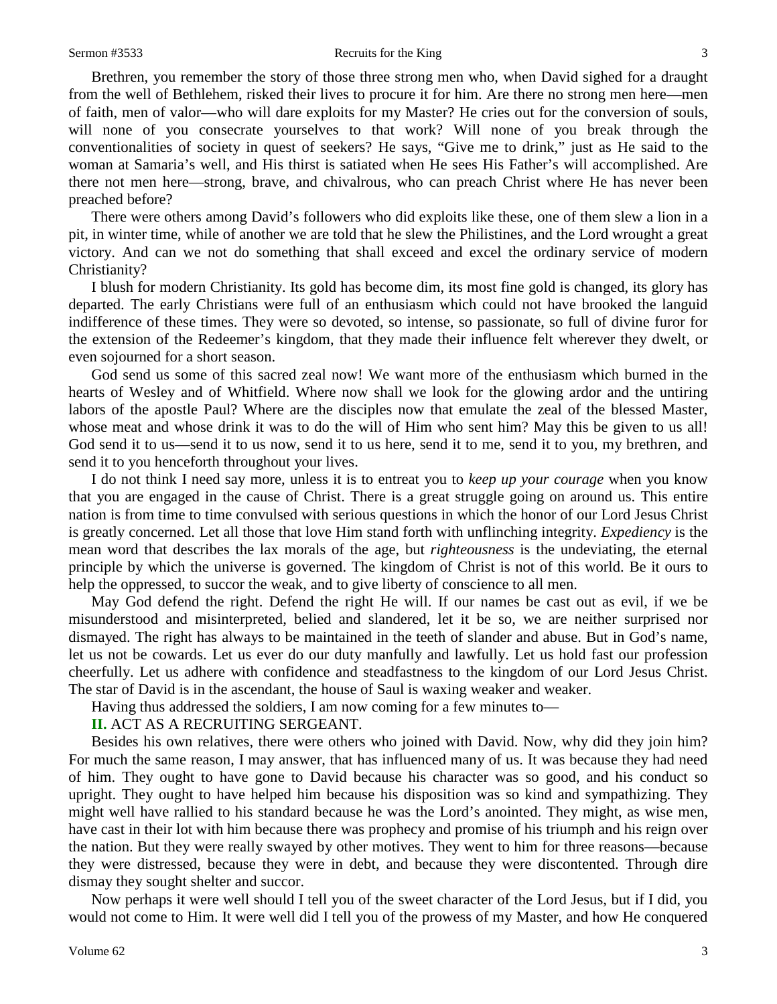Brethren, you remember the story of those three strong men who, when David sighed for a draught from the well of Bethlehem, risked their lives to procure it for him. Are there no strong men here—men of faith, men of valor—who will dare exploits for my Master? He cries out for the conversion of souls, will none of you consecrate yourselves to that work? Will none of you break through the conventionalities of society in quest of seekers? He says, "Give me to drink," just as He said to the woman at Samaria's well, and His thirst is satiated when He sees His Father's will accomplished. Are there not men here—strong, brave, and chivalrous, who can preach Christ where He has never been preached before?

There were others among David's followers who did exploits like these, one of them slew a lion in a pit, in winter time, while of another we are told that he slew the Philistines, and the Lord wrought a great victory. And can we not do something that shall exceed and excel the ordinary service of modern Christianity?

I blush for modern Christianity. Its gold has become dim, its most fine gold is changed, its glory has departed. The early Christians were full of an enthusiasm which could not have brooked the languid indifference of these times. They were so devoted, so intense, so passionate, so full of divine furor for the extension of the Redeemer's kingdom, that they made their influence felt wherever they dwelt, or even sojourned for a short season.

God send us some of this sacred zeal now! We want more of the enthusiasm which burned in the hearts of Wesley and of Whitfield. Where now shall we look for the glowing ardor and the untiring labors of the apostle Paul? Where are the disciples now that emulate the zeal of the blessed Master, whose meat and whose drink it was to do the will of Him who sent him? May this be given to us all! God send it to us—send it to us now, send it to us here, send it to me, send it to you, my brethren, and send it to you henceforth throughout your lives.

I do not think I need say more, unless it is to entreat you to *keep up your courage* when you know that you are engaged in the cause of Christ. There is a great struggle going on around us. This entire nation is from time to time convulsed with serious questions in which the honor of our Lord Jesus Christ is greatly concerned. Let all those that love Him stand forth with unflinching integrity. *Expediency* is the mean word that describes the lax morals of the age, but *righteousness* is the undeviating, the eternal principle by which the universe is governed. The kingdom of Christ is not of this world. Be it ours to help the oppressed, to succor the weak, and to give liberty of conscience to all men.

May God defend the right. Defend the right He will. If our names be cast out as evil, if we be misunderstood and misinterpreted, belied and slandered, let it be so, we are neither surprised nor dismayed. The right has always to be maintained in the teeth of slander and abuse. But in God's name, let us not be cowards. Let us ever do our duty manfully and lawfully. Let us hold fast our profession cheerfully. Let us adhere with confidence and steadfastness to the kingdom of our Lord Jesus Christ. The star of David is in the ascendant, the house of Saul is waxing weaker and weaker.

Having thus addressed the soldiers, I am now coming for a few minutes to—

# **II.** ACT AS A RECRUITING SERGEANT.

Besides his own relatives, there were others who joined with David. Now, why did they join him? For much the same reason, I may answer, that has influenced many of us. It was because they had need of him. They ought to have gone to David because his character was so good, and his conduct so upright. They ought to have helped him because his disposition was so kind and sympathizing. They might well have rallied to his standard because he was the Lord's anointed. They might, as wise men, have cast in their lot with him because there was prophecy and promise of his triumph and his reign over the nation. But they were really swayed by other motives. They went to him for three reasons—because they were distressed, because they were in debt, and because they were discontented. Through dire dismay they sought shelter and succor.

Now perhaps it were well should I tell you of the sweet character of the Lord Jesus, but if I did, you would not come to Him. It were well did I tell you of the prowess of my Master, and how He conquered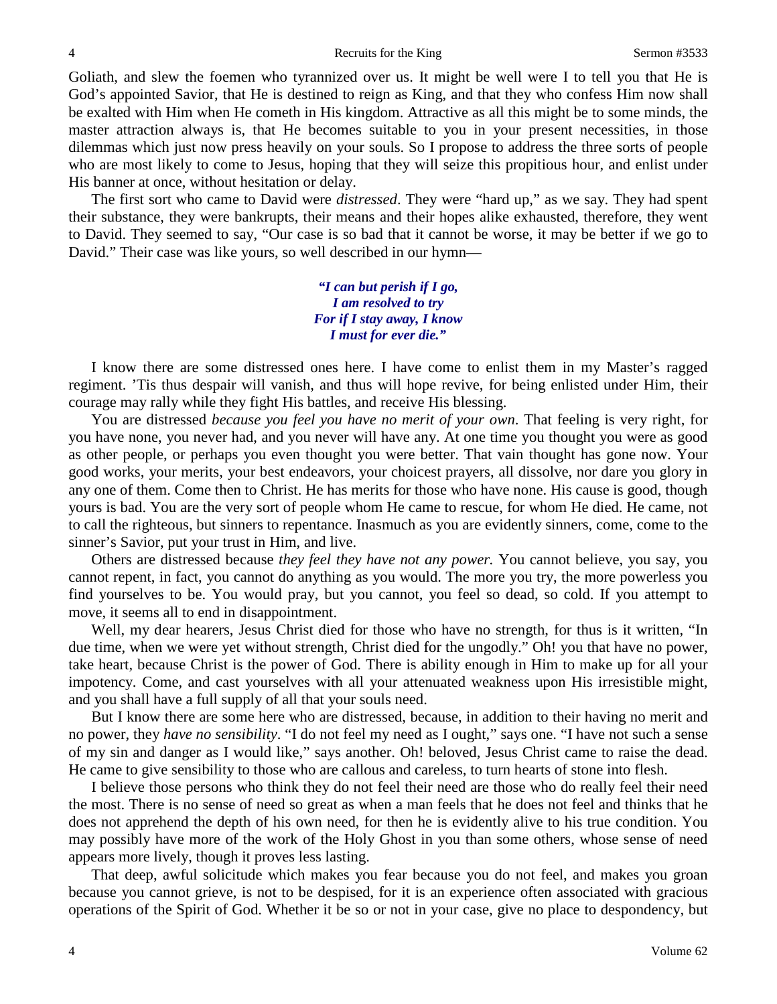Goliath, and slew the foemen who tyrannized over us. It might be well were I to tell you that He is God's appointed Savior, that He is destined to reign as King, and that they who confess Him now shall be exalted with Him when He cometh in His kingdom. Attractive as all this might be to some minds, the master attraction always is, that He becomes suitable to you in your present necessities, in those dilemmas which just now press heavily on your souls. So I propose to address the three sorts of people who are most likely to come to Jesus, hoping that they will seize this propitious hour, and enlist under His banner at once, without hesitation or delay.

The first sort who came to David were *distressed*. They were "hard up," as we say. They had spent their substance, they were bankrupts, their means and their hopes alike exhausted, therefore, they went to David. They seemed to say, "Our case is so bad that it cannot be worse, it may be better if we go to David." Their case was like yours, so well described in our hymn—

> *"I can but perish if I go, I am resolved to try For if I stay away, I know I must for ever die."*

I know there are some distressed ones here. I have come to enlist them in my Master's ragged regiment. 'Tis thus despair will vanish, and thus will hope revive, for being enlisted under Him, their courage may rally while they fight His battles, and receive His blessing.

You are distressed *because you feel you have no merit of your own*. That feeling is very right, for you have none, you never had, and you never will have any. At one time you thought you were as good as other people, or perhaps you even thought you were better. That vain thought has gone now. Your good works, your merits, your best endeavors, your choicest prayers, all dissolve, nor dare you glory in any one of them. Come then to Christ. He has merits for those who have none. His cause is good, though yours is bad. You are the very sort of people whom He came to rescue, for whom He died. He came, not to call the righteous, but sinners to repentance. Inasmuch as you are evidently sinners, come, come to the sinner's Savior, put your trust in Him, and live.

Others are distressed because *they feel they have not any power.* You cannot believe, you say, you cannot repent, in fact, you cannot do anything as you would. The more you try, the more powerless you find yourselves to be. You would pray, but you cannot, you feel so dead, so cold. If you attempt to move, it seems all to end in disappointment.

Well, my dear hearers, Jesus Christ died for those who have no strength, for thus is it written, "In due time, when we were yet without strength, Christ died for the ungodly." Oh! you that have no power, take heart, because Christ is the power of God. There is ability enough in Him to make up for all your impotency. Come, and cast yourselves with all your attenuated weakness upon His irresistible might, and you shall have a full supply of all that your souls need.

But I know there are some here who are distressed, because, in addition to their having no merit and no power, they *have no sensibility*. "I do not feel my need as I ought," says one. "I have not such a sense of my sin and danger as I would like," says another. Oh! beloved, Jesus Christ came to raise the dead. He came to give sensibility to those who are callous and careless, to turn hearts of stone into flesh.

I believe those persons who think they do not feel their need are those who do really feel their need the most. There is no sense of need so great as when a man feels that he does not feel and thinks that he does not apprehend the depth of his own need, for then he is evidently alive to his true condition. You may possibly have more of the work of the Holy Ghost in you than some others, whose sense of need appears more lively, though it proves less lasting.

That deep, awful solicitude which makes you fear because you do not feel, and makes you groan because you cannot grieve, is not to be despised, for it is an experience often associated with gracious operations of the Spirit of God. Whether it be so or not in your case, give no place to despondency, but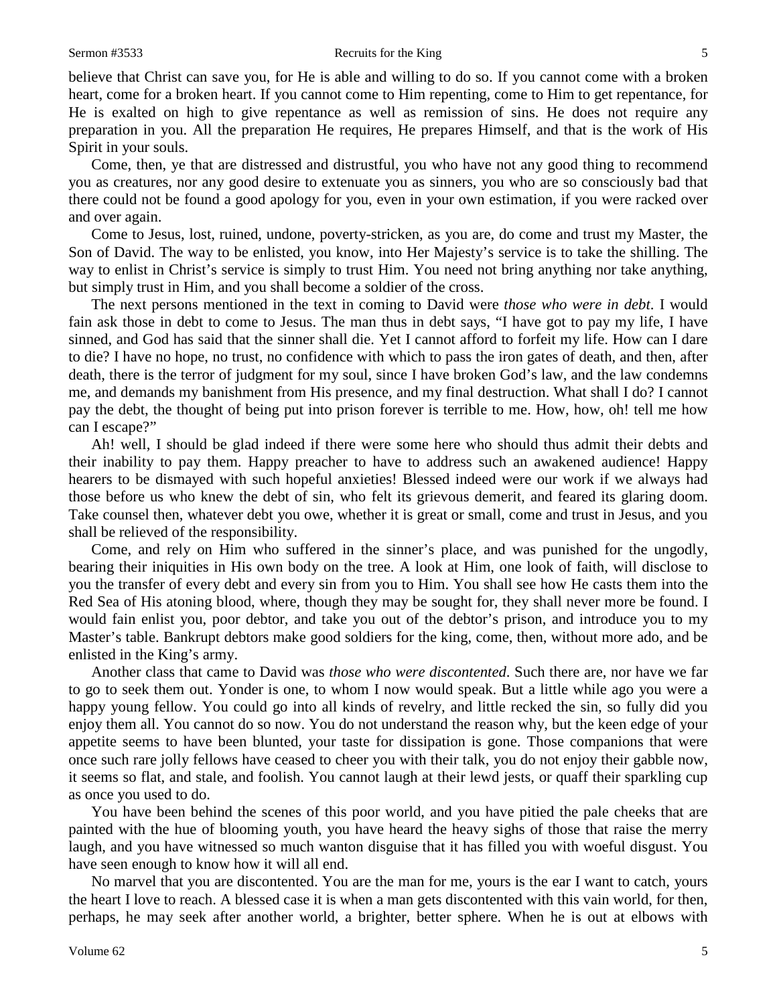believe that Christ can save you, for He is able and willing to do so. If you cannot come with a broken heart, come for a broken heart. If you cannot come to Him repenting, come to Him to get repentance, for He is exalted on high to give repentance as well as remission of sins. He does not require any preparation in you. All the preparation He requires, He prepares Himself, and that is the work of His Spirit in your souls.

Come, then, ye that are distressed and distrustful, you who have not any good thing to recommend you as creatures, nor any good desire to extenuate you as sinners, you who are so consciously bad that there could not be found a good apology for you, even in your own estimation, if you were racked over and over again.

Come to Jesus, lost, ruined, undone, poverty-stricken, as you are, do come and trust my Master, the Son of David. The way to be enlisted, you know, into Her Majesty's service is to take the shilling. The way to enlist in Christ's service is simply to trust Him. You need not bring anything nor take anything, but simply trust in Him, and you shall become a soldier of the cross.

The next persons mentioned in the text in coming to David were *those who were in debt*. I would fain ask those in debt to come to Jesus. The man thus in debt says, "I have got to pay my life, I have sinned, and God has said that the sinner shall die. Yet I cannot afford to forfeit my life. How can I dare to die? I have no hope, no trust, no confidence with which to pass the iron gates of death, and then, after death, there is the terror of judgment for my soul, since I have broken God's law, and the law condemns me, and demands my banishment from His presence, and my final destruction. What shall I do? I cannot pay the debt, the thought of being put into prison forever is terrible to me. How, how, oh! tell me how can I escape?"

Ah! well, I should be glad indeed if there were some here who should thus admit their debts and their inability to pay them. Happy preacher to have to address such an awakened audience! Happy hearers to be dismayed with such hopeful anxieties! Blessed indeed were our work if we always had those before us who knew the debt of sin, who felt its grievous demerit, and feared its glaring doom. Take counsel then, whatever debt you owe, whether it is great or small, come and trust in Jesus, and you shall be relieved of the responsibility.

Come, and rely on Him who suffered in the sinner's place, and was punished for the ungodly, bearing their iniquities in His own body on the tree. A look at Him, one look of faith, will disclose to you the transfer of every debt and every sin from you to Him. You shall see how He casts them into the Red Sea of His atoning blood, where, though they may be sought for, they shall never more be found. I would fain enlist you, poor debtor, and take you out of the debtor's prison, and introduce you to my Master's table. Bankrupt debtors make good soldiers for the king, come, then, without more ado, and be enlisted in the King's army.

Another class that came to David was *those who were discontented*. Such there are, nor have we far to go to seek them out. Yonder is one, to whom I now would speak. But a little while ago you were a happy young fellow. You could go into all kinds of revelry, and little recked the sin, so fully did you enjoy them all. You cannot do so now. You do not understand the reason why, but the keen edge of your appetite seems to have been blunted, your taste for dissipation is gone. Those companions that were once such rare jolly fellows have ceased to cheer you with their talk, you do not enjoy their gabble now, it seems so flat, and stale, and foolish. You cannot laugh at their lewd jests, or quaff their sparkling cup as once you used to do.

You have been behind the scenes of this poor world, and you have pitied the pale cheeks that are painted with the hue of blooming youth, you have heard the heavy sighs of those that raise the merry laugh, and you have witnessed so much wanton disguise that it has filled you with woeful disgust. You have seen enough to know how it will all end.

No marvel that you are discontented. You are the man for me, yours is the ear I want to catch, yours the heart I love to reach. A blessed case it is when a man gets discontented with this vain world, for then, perhaps, he may seek after another world, a brighter, better sphere. When he is out at elbows with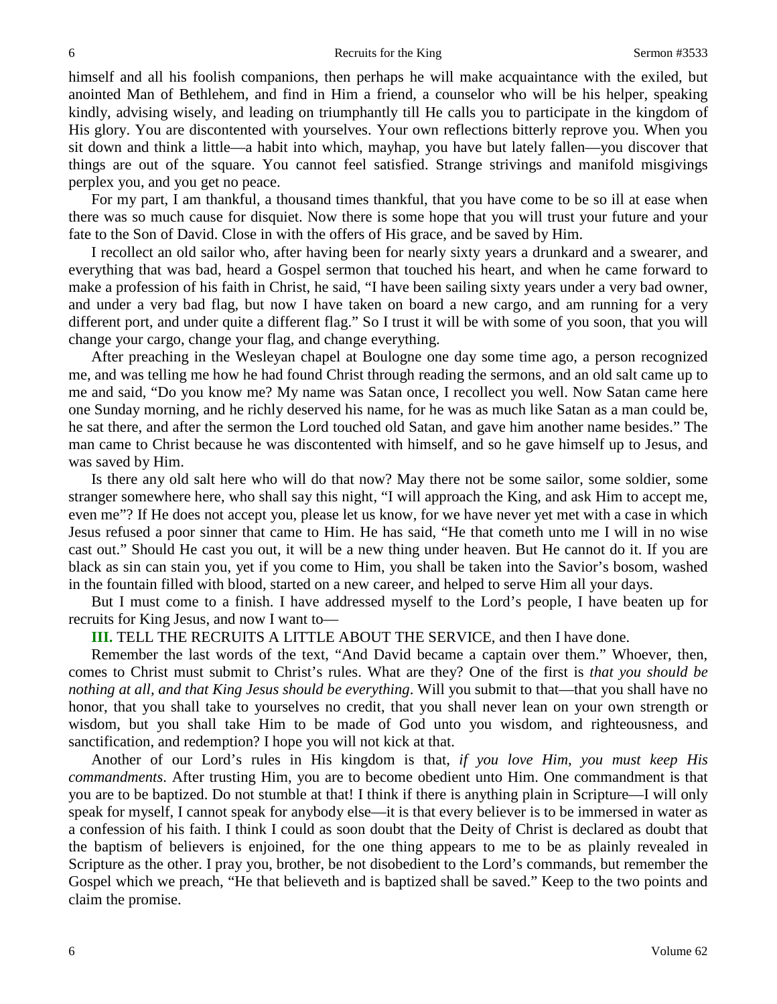himself and all his foolish companions, then perhaps he will make acquaintance with the exiled, but anointed Man of Bethlehem, and find in Him a friend, a counselor who will be his helper, speaking kindly, advising wisely, and leading on triumphantly till He calls you to participate in the kingdom of His glory. You are discontented with yourselves. Your own reflections bitterly reprove you. When you sit down and think a little—a habit into which, mayhap, you have but lately fallen—you discover that things are out of the square. You cannot feel satisfied. Strange strivings and manifold misgivings perplex you, and you get no peace.

For my part, I am thankful, a thousand times thankful, that you have come to be so ill at ease when there was so much cause for disquiet. Now there is some hope that you will trust your future and your fate to the Son of David. Close in with the offers of His grace, and be saved by Him.

I recollect an old sailor who, after having been for nearly sixty years a drunkard and a swearer, and everything that was bad, heard a Gospel sermon that touched his heart, and when he came forward to make a profession of his faith in Christ, he said, "I have been sailing sixty years under a very bad owner, and under a very bad flag, but now I have taken on board a new cargo, and am running for a very different port, and under quite a different flag." So I trust it will be with some of you soon, that you will change your cargo, change your flag, and change everything.

After preaching in the Wesleyan chapel at Boulogne one day some time ago, a person recognized me, and was telling me how he had found Christ through reading the sermons, and an old salt came up to me and said, "Do you know me? My name was Satan once, I recollect you well. Now Satan came here one Sunday morning, and he richly deserved his name, for he was as much like Satan as a man could be, he sat there, and after the sermon the Lord touched old Satan, and gave him another name besides." The man came to Christ because he was discontented with himself, and so he gave himself up to Jesus, and was saved by Him.

Is there any old salt here who will do that now? May there not be some sailor, some soldier, some stranger somewhere here, who shall say this night, "I will approach the King, and ask Him to accept me, even me"? If He does not accept you, please let us know, for we have never yet met with a case in which Jesus refused a poor sinner that came to Him. He has said, "He that cometh unto me I will in no wise cast out." Should He cast you out, it will be a new thing under heaven. But He cannot do it. If you are black as sin can stain you, yet if you come to Him, you shall be taken into the Savior's bosom, washed in the fountain filled with blood, started on a new career, and helped to serve Him all your days.

But I must come to a finish. I have addressed myself to the Lord's people, I have beaten up for recruits for King Jesus, and now I want to—

# **III.** TELL THE RECRUITS A LITTLE ABOUT THE SERVICE, and then I have done.

Remember the last words of the text, "And David became a captain over them." Whoever, then, comes to Christ must submit to Christ's rules. What are they? One of the first is *that you should be nothing at all, and that King Jesus should be everything*. Will you submit to that—that you shall have no honor, that you shall take to yourselves no credit, that you shall never lean on your own strength or wisdom, but you shall take Him to be made of God unto you wisdom, and righteousness, and sanctification, and redemption? I hope you will not kick at that.

Another of our Lord's rules in His kingdom is that, *if you love Him, you must keep His commandments*. After trusting Him, you are to become obedient unto Him. One commandment is that you are to be baptized. Do not stumble at that! I think if there is anything plain in Scripture—I will only speak for myself, I cannot speak for anybody else—it is that every believer is to be immersed in water as a confession of his faith. I think I could as soon doubt that the Deity of Christ is declared as doubt that the baptism of believers is enjoined, for the one thing appears to me to be as plainly revealed in Scripture as the other. I pray you, brother, be not disobedient to the Lord's commands, but remember the Gospel which we preach, "He that believeth and is baptized shall be saved." Keep to the two points and claim the promise.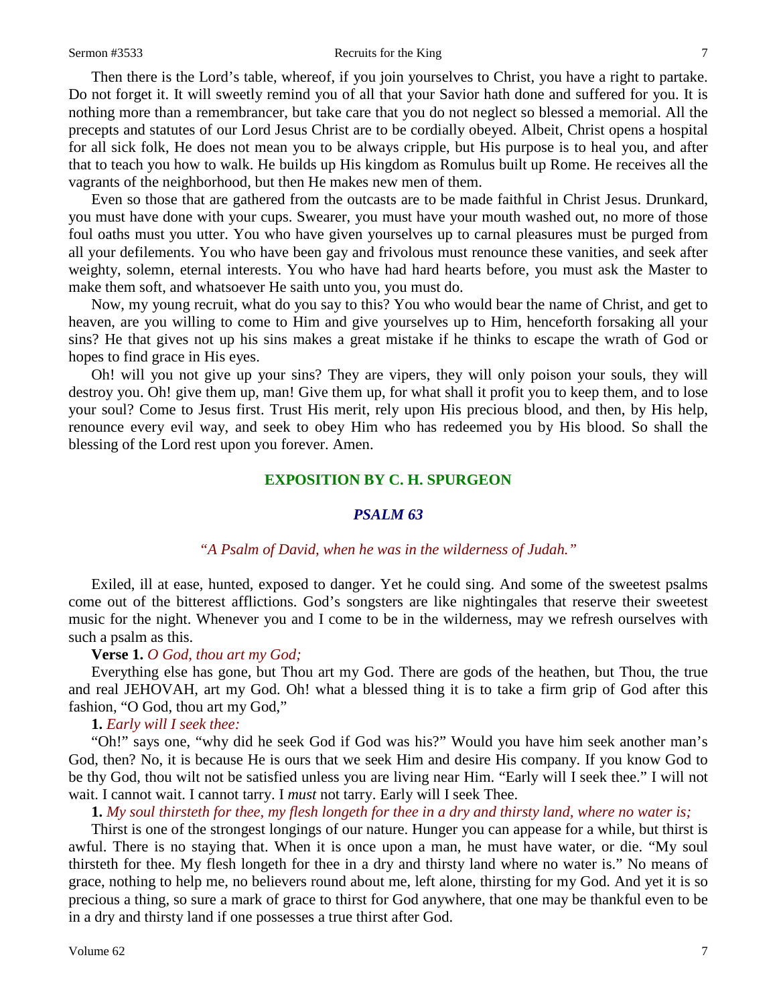#### Sermon #3533 Recruits for the King 7

Then there is the Lord's table, whereof, if you join yourselves to Christ, you have a right to partake. Do not forget it. It will sweetly remind you of all that your Savior hath done and suffered for you. It is nothing more than a remembrancer, but take care that you do not neglect so blessed a memorial. All the precepts and statutes of our Lord Jesus Christ are to be cordially obeyed. Albeit, Christ opens a hospital for all sick folk, He does not mean you to be always cripple, but His purpose is to heal you, and after that to teach you how to walk. He builds up His kingdom as Romulus built up Rome. He receives all the vagrants of the neighborhood, but then He makes new men of them.

Even so those that are gathered from the outcasts are to be made faithful in Christ Jesus. Drunkard, you must have done with your cups. Swearer, you must have your mouth washed out, no more of those foul oaths must you utter. You who have given yourselves up to carnal pleasures must be purged from all your defilements. You who have been gay and frivolous must renounce these vanities, and seek after weighty, solemn, eternal interests. You who have had hard hearts before, you must ask the Master to make them soft, and whatsoever He saith unto you, you must do.

Now, my young recruit, what do you say to this? You who would bear the name of Christ, and get to heaven, are you willing to come to Him and give yourselves up to Him, henceforth forsaking all your sins? He that gives not up his sins makes a great mistake if he thinks to escape the wrath of God or hopes to find grace in His eyes.

Oh! will you not give up your sins? They are vipers, they will only poison your souls, they will destroy you. Oh! give them up, man! Give them up, for what shall it profit you to keep them, and to lose your soul? Come to Jesus first. Trust His merit, rely upon His precious blood, and then, by His help, renounce every evil way, and seek to obey Him who has redeemed you by His blood. So shall the blessing of the Lord rest upon you forever. Amen.

# **EXPOSITION BY C. H. SPURGEON**

# *PSALM 63*

#### *"A Psalm of David, when he was in the wilderness of Judah."*

Exiled, ill at ease, hunted, exposed to danger. Yet he could sing. And some of the sweetest psalms come out of the bitterest afflictions. God's songsters are like nightingales that reserve their sweetest music for the night. Whenever you and I come to be in the wilderness, may we refresh ourselves with such a psalm as this.

# **Verse 1.** *O God, thou art my God;*

Everything else has gone, but Thou art my God. There are gods of the heathen, but Thou, the true and real JEHOVAH, art my God. Oh! what a blessed thing it is to take a firm grip of God after this fashion, "O God, thou art my God,"

# **1.** *Early will I seek thee:*

"Oh!" says one, "why did he seek God if God was his?" Would you have him seek another man's God, then? No, it is because He is ours that we seek Him and desire His company. If you know God to be thy God, thou wilt not be satisfied unless you are living near Him. "Early will I seek thee." I will not wait. I cannot wait. I cannot tarry. I *must* not tarry. Early will I seek Thee.

#### **1.** *My soul thirsteth for thee, my flesh longeth for thee in a dry and thirsty land, where no water is;*

Thirst is one of the strongest longings of our nature. Hunger you can appease for a while, but thirst is awful. There is no staying that. When it is once upon a man, he must have water, or die. "My soul thirsteth for thee. My flesh longeth for thee in a dry and thirsty land where no water is." No means of grace, nothing to help me, no believers round about me, left alone, thirsting for my God. And yet it is so precious a thing, so sure a mark of grace to thirst for God anywhere, that one may be thankful even to be in a dry and thirsty land if one possesses a true thirst after God.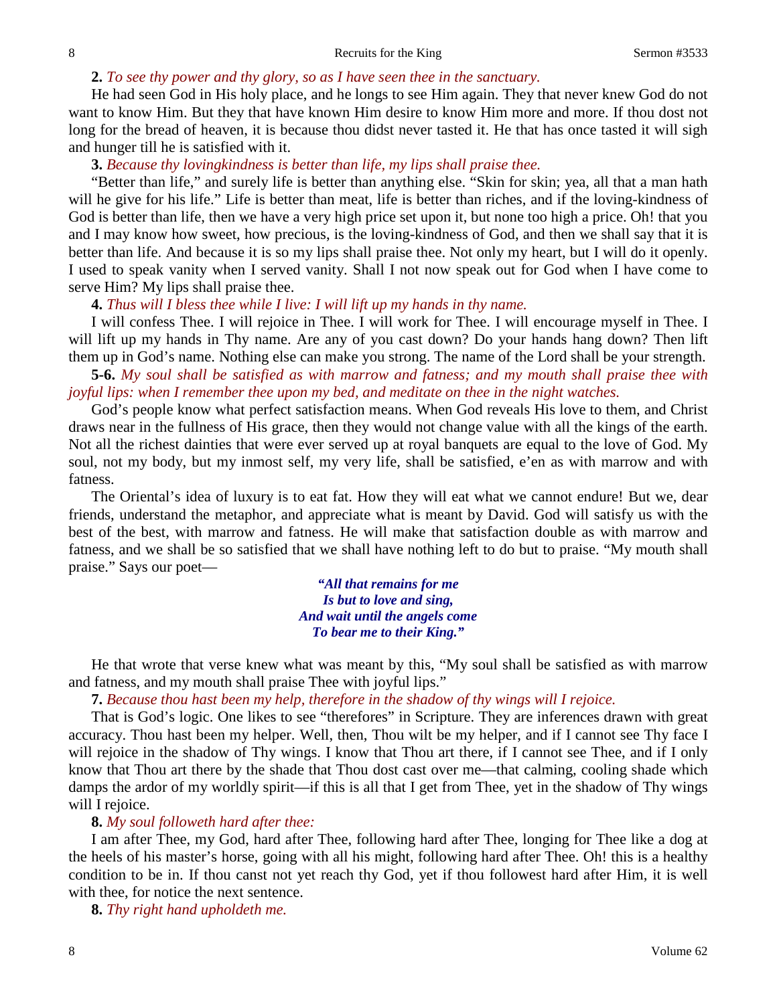### **2.** *To see thy power and thy glory, so as I have seen thee in the sanctuary.*

He had seen God in His holy place, and he longs to see Him again. They that never knew God do not want to know Him. But they that have known Him desire to know Him more and more. If thou dost not long for the bread of heaven, it is because thou didst never tasted it. He that has once tasted it will sigh and hunger till he is satisfied with it.

# **3.** *Because thy lovingkindness is better than life, my lips shall praise thee.*

"Better than life," and surely life is better than anything else. "Skin for skin; yea, all that a man hath will he give for his life." Life is better than meat, life is better than riches, and if the loving-kindness of God is better than life, then we have a very high price set upon it, but none too high a price. Oh! that you and I may know how sweet, how precious, is the loving-kindness of God, and then we shall say that it is better than life. And because it is so my lips shall praise thee. Not only my heart, but I will do it openly. I used to speak vanity when I served vanity. Shall I not now speak out for God when I have come to serve Him? My lips shall praise thee.

# **4.** *Thus will I bless thee while I live: I will lift up my hands in thy name.*

I will confess Thee. I will rejoice in Thee. I will work for Thee. I will encourage myself in Thee. I will lift up my hands in Thy name. Are any of you cast down? Do your hands hang down? Then lift them up in God's name. Nothing else can make you strong. The name of the Lord shall be your strength.

**5-6.** *My soul shall be satisfied as with marrow and fatness; and my mouth shall praise thee with joyful lips: when I remember thee upon my bed, and meditate on thee in the night watches.* 

God's people know what perfect satisfaction means. When God reveals His love to them, and Christ draws near in the fullness of His grace, then they would not change value with all the kings of the earth. Not all the richest dainties that were ever served up at royal banquets are equal to the love of God. My soul, not my body, but my inmost self, my very life, shall be satisfied, e'en as with marrow and with fatness.

The Oriental's idea of luxury is to eat fat. How they will eat what we cannot endure! But we, dear friends, understand the metaphor, and appreciate what is meant by David. God will satisfy us with the best of the best, with marrow and fatness. He will make that satisfaction double as with marrow and fatness, and we shall be so satisfied that we shall have nothing left to do but to praise. "My mouth shall praise." Says our poet—

> *"All that remains for me Is but to love and sing, And wait until the angels come To bear me to their King."*

He that wrote that verse knew what was meant by this, "My soul shall be satisfied as with marrow and fatness, and my mouth shall praise Thee with joyful lips."

# **7.** *Because thou hast been my help, therefore in the shadow of thy wings will I rejoice.*

That is God's logic. One likes to see "therefores" in Scripture. They are inferences drawn with great accuracy. Thou hast been my helper. Well, then, Thou wilt be my helper, and if I cannot see Thy face I will rejoice in the shadow of Thy wings. I know that Thou art there, if I cannot see Thee, and if I only know that Thou art there by the shade that Thou dost cast over me—that calming, cooling shade which damps the ardor of my worldly spirit—if this is all that I get from Thee, yet in the shadow of Thy wings will I rejoice.

# **8.** *My soul followeth hard after thee:*

I am after Thee, my God, hard after Thee, following hard after Thee, longing for Thee like a dog at the heels of his master's horse, going with all his might, following hard after Thee. Oh! this is a healthy condition to be in. If thou canst not yet reach thy God, yet if thou followest hard after Him, it is well with thee, for notice the next sentence.

**8.** *Thy right hand upholdeth me.*